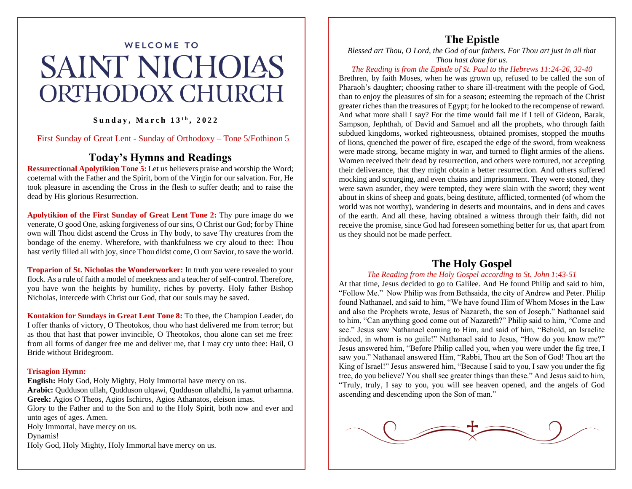# **WELCOME TO SAINT NICHOIAS ORTHODOX CHURCH**

### **S u n d a y , M a r c h 1 3 t h , 2 0 2 2**

First Sunday of Great Lent - Sunday of Orthodoxy – Tone 5/Eothinon 5

# **Today's Hymns and Readings**

**Ressurectional Apolytikion Tone 5:** Let us believers praise and worship the Word; coeternal with the Father and the Spirit, born of the Virgin for our salvation. For, He took pleasure in ascending the Cross in the flesh to suffer death; and to raise the dead by His glorious Resurrection.

**Apolytikion of the First Sunday of Great Lent Tone 2:** Thy pure image do we venerate, O good One, asking forgiveness of our sins, O Christ our God; for by Thine own will Thou didst ascend the Cross in Thy body, to save Thy creatures from the bondage of the enemy. Wherefore, with thankfulness we cry aloud to thee: Thou hast verily filled all with joy, since Thou didst come, O our Savior, to save the world.

**Troparion of St. Nicholas the Wonderworker:** In truth you were revealed to your flock. As a rule of faith a model of meekness and a teacher of self-control. Therefore, you have won the heights by humility, riches by poverty. Holy father Bishop Nicholas, intercede with Christ our God, that our souls may be saved.

**Kontakion for Sundays in Great Lent Tone 8:** To thee, the Champion Leader, do I offer thanks of victory, O Theotokos, thou who hast delivered me from terror; but as thou that hast that power invincible, O Theotokos, thou alone can set me free: from all forms of danger free me and deliver me, that I may cry unto thee: Hail, O Bride without Bridegroom.

### **Trisagion Hymn:**

**English:** Holy God, Holy Mighty, Holy Immortal have mercy on us. **Arabic:** Qudduson ullah, Qudduson ulqawi, Qudduson ullahdhi, la yamut urhamna. **Greek:** Agios O Theos, Agios Ischiros, Agios Athanatos, eleison imas. Glory to the Father and to the Son and to the Holy Spirit, both now and ever and unto ages of ages. Amen. Holy Immortal, have mercy on us. Dynamis!

Holy God, Holy Mighty, Holy Immortal have mercy on us.

# **The Epistle**

*Blessed art Thou, O Lord, the God of our fathers. For Thou art just in all that Thou hast done for us.*

### *The Reading is from the Epistle of St. Paul to the Hebrews 11:24-26, 32-40*

Brethren, by faith Moses, when he was grown up, refused to be called the son of Pharaoh's daughter; choosing rather to share ill-treatment with the people of God, than to enjoy the pleasures of sin for a season; esteeming the reproach of the Christ greater riches than the treasures of Egypt; for he looked to the recompense of reward. And what more shall I say? For the time would fail me if I tell of Gideon, Barak, Sampson, Jephthah, of David and Samuel and all the prophets, who through faith subdued kingdoms, worked righteousness, obtained promises, stopped the mouths of lions, quenched the power of fire, escaped the edge of the sword, from weakness were made strong, became mighty in war, and turned to flight armies of the aliens. Women received their dead by resurrection, and others were tortured, not accepting their deliverance, that they might obtain a better resurrection. And others suffered mocking and scourging, and even chains and imprisonment. They were stoned, they were sawn asunder, they were tempted, they were slain with the sword; they went about in skins of sheep and goats, being destitute, afflicted, tormented (of whom the world was not worthy), wandering in deserts and mountains, and in dens and caves of the earth. And all these, having obtained a witness through their faith, did not receive the promise, since God had foreseen something better for us, that apart from us they should not be made perfect.

# **The Holy Gospel**

### *The Reading from the Holy Gospel according to St. John 1:43-51*

At that time, Jesus decided to go to Galilee. And He found Philip and said to him, "Follow Me." Now Philip was from Bethsaida, the city of Andrew and Peter. Philip found Nathanael, and said to him, "We have found Him of Whom Moses in the Law and also the Prophets wrote, Jesus of Nazareth, the son of Joseph." Nathanael said to him, "Can anything good come out of Nazareth?" Philip said to him, "Come and see." Jesus saw Nathanael coming to Him, and said of him, "Behold, an Israelite indeed, in whom is no guile!" Nathanael said to Jesus, "How do you know me?" Jesus answered him, "Before Philip called you, when you were under the fig tree, I saw you." Nathanael answered Him, "Rabbi, Thou art the Son of God! Thou art the King of Israel!" Jesus answered him, "Because I said to you, I saw you under the fig tree, do you believe? You shall see greater things than these." And Jesus said to him, "Truly, truly, I say to you, you will see heaven opened, and the angels of God ascending and descending upon the Son of man."